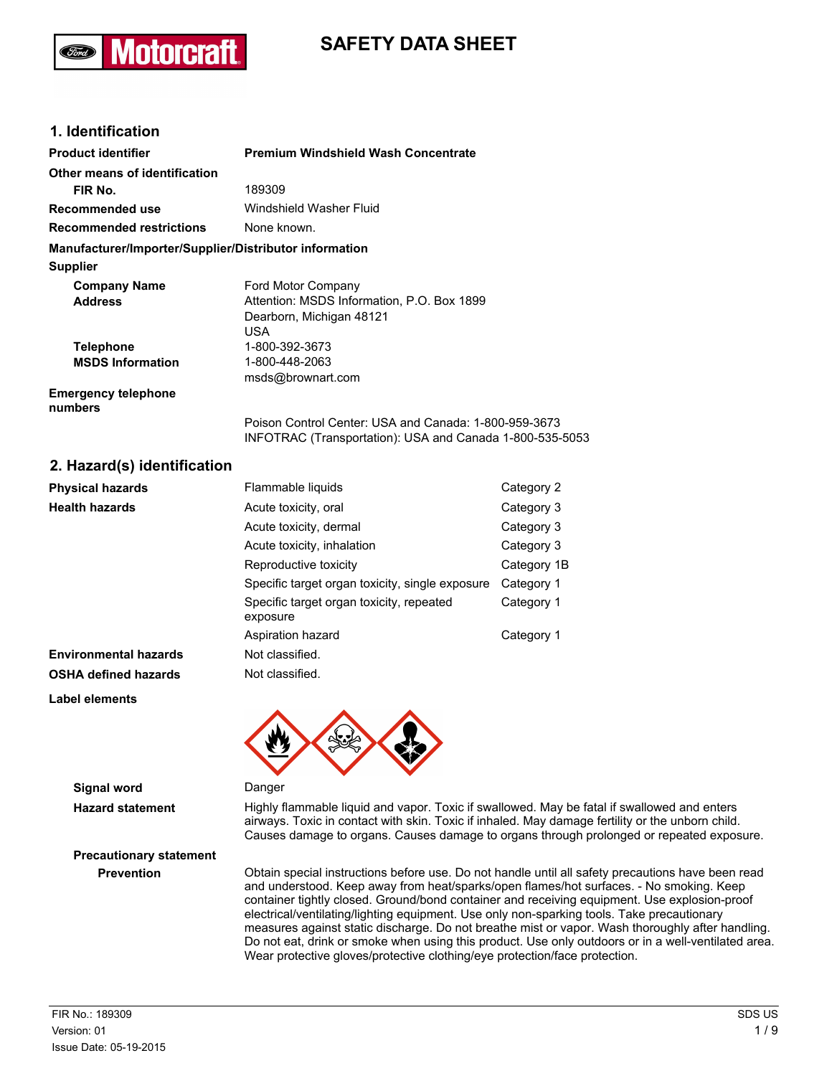## **SAFETY DATA SHEET**

## **1. Identification**

Aotorcra

| <b>Product identifier</b>                              | Premium Windshield Wash Concentrate                                                                               |  |
|--------------------------------------------------------|-------------------------------------------------------------------------------------------------------------------|--|
| Other means of identification                          |                                                                                                                   |  |
| FIR No.                                                | 189309                                                                                                            |  |
| Recommended use                                        | Windshield Washer Fluid                                                                                           |  |
| <b>Recommended restrictions</b>                        | None known.                                                                                                       |  |
| Manufacturer/Importer/Supplier/Distributor information |                                                                                                                   |  |
| <b>Supplier</b>                                        |                                                                                                                   |  |
| <b>Company Name</b>                                    | Ford Motor Company                                                                                                |  |
| <b>Address</b>                                         | Attention: MSDS Information, P.O. Box 1899                                                                        |  |
|                                                        | Dearborn, Michigan 48121                                                                                          |  |
|                                                        | USA                                                                                                               |  |
| <b>Telephone</b>                                       | 1-800-392-3673                                                                                                    |  |
| <b>MSDS Information</b>                                | 1-800-448-2063                                                                                                    |  |
|                                                        | msds@brownart.com                                                                                                 |  |
| <b>Emergency telephone</b><br>numbers                  |                                                                                                                   |  |
|                                                        | Poison Control Center: USA and Canada: 1-800-959-3673<br>INFOTRAC (Transportation): USA and Canada 1-800-535-5053 |  |

## **2. Hazard(s) identification**

| <b>Physical hazards</b>      | Flammable liquids                                    | Category 2  |
|------------------------------|------------------------------------------------------|-------------|
| <b>Health hazards</b>        | Acute toxicity, oral                                 | Category 3  |
|                              | Acute toxicity, dermal                               | Category 3  |
|                              | Acute toxicity, inhalation                           | Category 3  |
|                              | Reproductive toxicity                                | Category 1B |
|                              | Specific target organ toxicity, single exposure      | Category 1  |
|                              | Specific target organ toxicity, repeated<br>exposure | Category 1  |
|                              | Aspiration hazard                                    | Category 1  |
| <b>Environmental hazards</b> | Not classified.                                      |             |
| <b>OSHA defined hazards</b>  | Not classified.                                      |             |
| Label elements               |                                                      |             |



#### **Signal word** Danger

**Hazard statement** Highly flammable liquid and vapor. Toxic if swallowed. May be fatal if swallowed and enters airways. Toxic in contact with skin. Toxic if inhaled. May damage fertility or the unborn child. Causes damage to organs. Causes damage to organs through prolonged or repeated exposure.

**Prevention** Obtain special instructions before use. Do not handle until all safety precautions have been read and understood. Keep away from heat/sparks/open flames/hot surfaces. - No smoking. Keep container tightly closed. Ground/bond container and receiving equipment. Use explosion-proof electrical/ventilating/lighting equipment. Use only non-sparking tools. Take precautionary measures against static discharge. Do not breathe mist or vapor. Wash thoroughly after handling. Do not eat, drink or smoke when using this product. Use only outdoors or in a well-ventilated area. Wear protective gloves/protective clothing/eye protection/face protection.

# **Precautionary statement**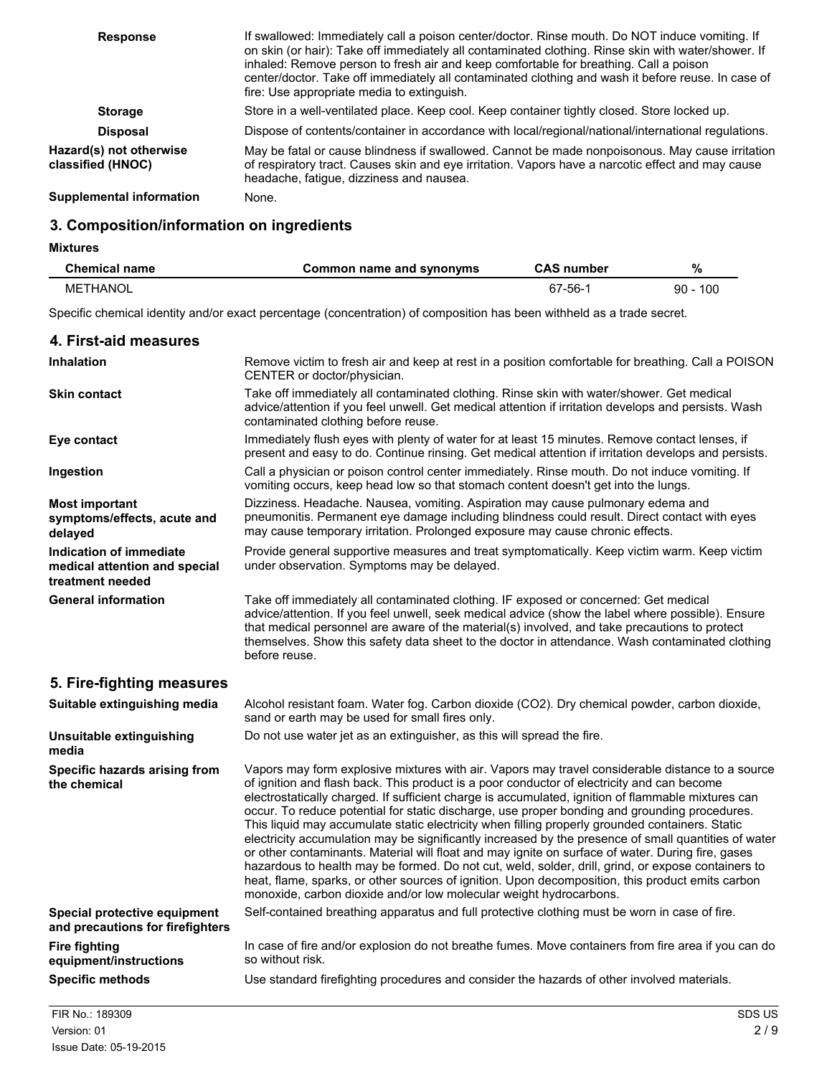| <b>Response</b>                              | If swallowed: Immediately call a poison center/doctor. Rinse mouth. Do NOT induce vomiting. If<br>on skin (or hair): Take off immediately all contaminated clothing. Rinse skin with water/shower. If<br>inhaled: Remove person to fresh air and keep comfortable for breathing. Call a poison<br>center/doctor. Take off immediately all contaminated clothing and wash it before reuse. In case of<br>fire: Use appropriate media to extinguish. |
|----------------------------------------------|----------------------------------------------------------------------------------------------------------------------------------------------------------------------------------------------------------------------------------------------------------------------------------------------------------------------------------------------------------------------------------------------------------------------------------------------------|
| <b>Storage</b>                               | Store in a well-ventilated place. Keep cool. Keep container tightly closed. Store locked up.                                                                                                                                                                                                                                                                                                                                                       |
| <b>Disposal</b>                              | Dispose of contents/container in accordance with local/regional/national/international regulations.                                                                                                                                                                                                                                                                                                                                                |
| Hazard(s) not otherwise<br>classified (HNOC) | May be fatal or cause blindness if swallowed. Cannot be made nonpoisonous. May cause irritation<br>of respiratory tract. Causes skin and eye irritation. Vapors have a narcotic effect and may cause<br>headache, fatique, dizziness and nausea.                                                                                                                                                                                                   |
| Supplemental information                     | None.                                                                                                                                                                                                                                                                                                                                                                                                                                              |

## **3. Composition/information on ingredients**

## **Mixtures**

| <b>Chemical name</b> | Common name and synonyms | <b>CAS number</b> | %          |
|----------------------|--------------------------|-------------------|------------|
| METHANOL             |                          | 67-56-            | $90 - 100$ |

Specific chemical identity and/or exact percentage (concentration) of composition has been withheld as a trade secret.

| 4. First-aid measures                                                        |                                                                                                                                                                                                                                                                                                                                                                                                                                                                                                                                                                                                                                                                                                                                                                                                                                                                                                                                                                                                       |
|------------------------------------------------------------------------------|-------------------------------------------------------------------------------------------------------------------------------------------------------------------------------------------------------------------------------------------------------------------------------------------------------------------------------------------------------------------------------------------------------------------------------------------------------------------------------------------------------------------------------------------------------------------------------------------------------------------------------------------------------------------------------------------------------------------------------------------------------------------------------------------------------------------------------------------------------------------------------------------------------------------------------------------------------------------------------------------------------|
| <b>Inhalation</b>                                                            | Remove victim to fresh air and keep at rest in a position comfortable for breathing. Call a POISON<br>CENTER or doctor/physician.                                                                                                                                                                                                                                                                                                                                                                                                                                                                                                                                                                                                                                                                                                                                                                                                                                                                     |
| <b>Skin contact</b>                                                          | Take off immediately all contaminated clothing. Rinse skin with water/shower. Get medical<br>advice/attention if you feel unwell. Get medical attention if irritation develops and persists. Wash<br>contaminated clothing before reuse.                                                                                                                                                                                                                                                                                                                                                                                                                                                                                                                                                                                                                                                                                                                                                              |
| Eye contact                                                                  | Immediately flush eyes with plenty of water for at least 15 minutes. Remove contact lenses, if<br>present and easy to do. Continue rinsing. Get medical attention if irritation develops and persists.                                                                                                                                                                                                                                                                                                                                                                                                                                                                                                                                                                                                                                                                                                                                                                                                |
| Ingestion                                                                    | Call a physician or poison control center immediately. Rinse mouth. Do not induce vomiting. If<br>vomiting occurs, keep head low so that stomach content doesn't get into the lungs.                                                                                                                                                                                                                                                                                                                                                                                                                                                                                                                                                                                                                                                                                                                                                                                                                  |
| <b>Most important</b><br>symptoms/effects, acute and<br>delayed              | Dizziness. Headache. Nausea, vomiting. Aspiration may cause pulmonary edema and<br>pneumonitis. Permanent eye damage including blindness could result. Direct contact with eyes<br>may cause temporary irritation. Prolonged exposure may cause chronic effects.                                                                                                                                                                                                                                                                                                                                                                                                                                                                                                                                                                                                                                                                                                                                      |
| Indication of immediate<br>medical attention and special<br>treatment needed | Provide general supportive measures and treat symptomatically. Keep victim warm. Keep victim<br>under observation. Symptoms may be delayed.                                                                                                                                                                                                                                                                                                                                                                                                                                                                                                                                                                                                                                                                                                                                                                                                                                                           |
| <b>General information</b>                                                   | Take off immediately all contaminated clothing. IF exposed or concerned: Get medical<br>advice/attention. If you feel unwell, seek medical advice (show the label where possible). Ensure<br>that medical personnel are aware of the material(s) involved, and take precautions to protect<br>themselves. Show this safety data sheet to the doctor in attendance. Wash contaminated clothing<br>before reuse.                                                                                                                                                                                                                                                                                                                                                                                                                                                                                                                                                                                        |
| 5. Fire-fighting measures                                                    |                                                                                                                                                                                                                                                                                                                                                                                                                                                                                                                                                                                                                                                                                                                                                                                                                                                                                                                                                                                                       |
| Suitable extinguishing media                                                 | Alcohol resistant foam. Water fog. Carbon dioxide (CO2). Dry chemical powder, carbon dioxide,<br>sand or earth may be used for small fires only.                                                                                                                                                                                                                                                                                                                                                                                                                                                                                                                                                                                                                                                                                                                                                                                                                                                      |
| Unsuitable extinguishing<br>media                                            | Do not use water jet as an extinguisher, as this will spread the fire.                                                                                                                                                                                                                                                                                                                                                                                                                                                                                                                                                                                                                                                                                                                                                                                                                                                                                                                                |
| Specific hazards arising from<br>the chemical                                | Vapors may form explosive mixtures with air. Vapors may travel considerable distance to a source<br>of ignition and flash back. This product is a poor conductor of electricity and can become<br>electrostatically charged. If sufficient charge is accumulated, ignition of flammable mixtures can<br>occur. To reduce potential for static discharge, use proper bonding and grounding procedures.<br>This liquid may accumulate static electricity when filling properly grounded containers. Static<br>electricity accumulation may be significantly increased by the presence of small quantities of water<br>or other contaminants. Material will float and may ignite on surface of water. During fire, gases<br>hazardous to health may be formed. Do not cut, weld, solder, drill, grind, or expose containers to<br>heat, flame, sparks, or other sources of ignition. Upon decomposition, this product emits carbon<br>monoxide, carbon dioxide and/or low molecular weight hydrocarbons. |
| Special protective equipment<br>and precautions for firefighters             | Self-contained breathing apparatus and full protective clothing must be worn in case of fire.                                                                                                                                                                                                                                                                                                                                                                                                                                                                                                                                                                                                                                                                                                                                                                                                                                                                                                         |
| <b>Fire fighting</b><br>equipment/instructions                               | In case of fire and/or explosion do not breathe fumes. Move containers from fire area if you can do<br>so without risk.                                                                                                                                                                                                                                                                                                                                                                                                                                                                                                                                                                                                                                                                                                                                                                                                                                                                               |
| <b>Specific methods</b>                                                      | Use standard firefighting procedures and consider the hazards of other involved materials.                                                                                                                                                                                                                                                                                                                                                                                                                                                                                                                                                                                                                                                                                                                                                                                                                                                                                                            |
| FIR No.: 189309                                                              | <b>SDS US</b>                                                                                                                                                                                                                                                                                                                                                                                                                                                                                                                                                                                                                                                                                                                                                                                                                                                                                                                                                                                         |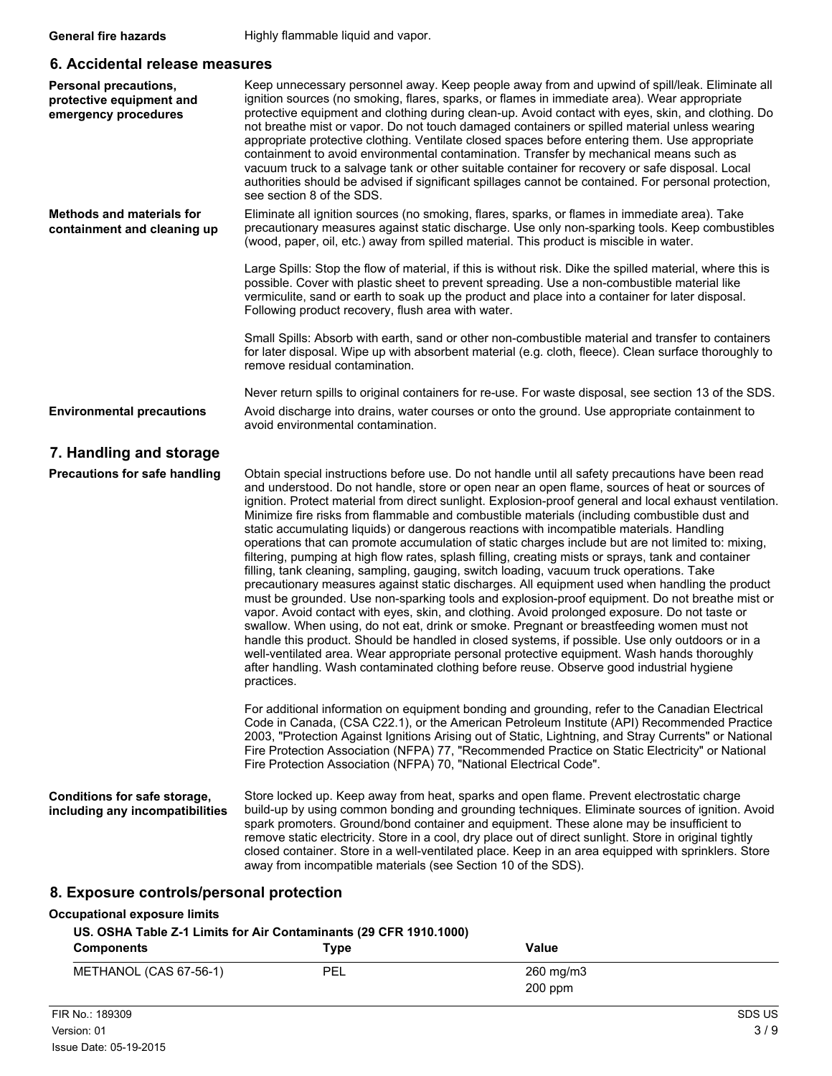## **6. Accidental release measures**

| Personal precautions,<br>protective equipment and<br>emergency procedures | Keep unnecessary personnel away. Keep people away from and upwind of spill/leak. Eliminate all<br>ignition sources (no smoking, flares, sparks, or flames in immediate area). Wear appropriate<br>protective equipment and clothing during clean-up. Avoid contact with eyes, skin, and clothing. Do<br>not breathe mist or vapor. Do not touch damaged containers or spilled material unless wearing<br>appropriate protective clothing. Ventilate closed spaces before entering them. Use appropriate<br>containment to avoid environmental contamination. Transfer by mechanical means such as<br>vacuum truck to a salvage tank or other suitable container for recovery or safe disposal. Local<br>authorities should be advised if significant spillages cannot be contained. For personal protection,<br>see section 8 of the SDS.                                                                                                                                                                                                                                                                                                                                                                                                                                                                                                                                                                                                                                                                                           |
|---------------------------------------------------------------------------|-------------------------------------------------------------------------------------------------------------------------------------------------------------------------------------------------------------------------------------------------------------------------------------------------------------------------------------------------------------------------------------------------------------------------------------------------------------------------------------------------------------------------------------------------------------------------------------------------------------------------------------------------------------------------------------------------------------------------------------------------------------------------------------------------------------------------------------------------------------------------------------------------------------------------------------------------------------------------------------------------------------------------------------------------------------------------------------------------------------------------------------------------------------------------------------------------------------------------------------------------------------------------------------------------------------------------------------------------------------------------------------------------------------------------------------------------------------------------------------------------------------------------------------|
| <b>Methods and materials for</b><br>containment and cleaning up           | Eliminate all ignition sources (no smoking, flares, sparks, or flames in immediate area). Take<br>precautionary measures against static discharge. Use only non-sparking tools. Keep combustibles<br>(wood, paper, oil, etc.) away from spilled material. This product is miscible in water.                                                                                                                                                                                                                                                                                                                                                                                                                                                                                                                                                                                                                                                                                                                                                                                                                                                                                                                                                                                                                                                                                                                                                                                                                                        |
|                                                                           | Large Spills: Stop the flow of material, if this is without risk. Dike the spilled material, where this is<br>possible. Cover with plastic sheet to prevent spreading. Use a non-combustible material like<br>vermiculite, sand or earth to soak up the product and place into a container for later disposal.<br>Following product recovery, flush area with water.                                                                                                                                                                                                                                                                                                                                                                                                                                                                                                                                                                                                                                                                                                                                                                                                                                                                                                                                                                                                                                                                                                                                                                |
|                                                                           | Small Spills: Absorb with earth, sand or other non-combustible material and transfer to containers<br>for later disposal. Wipe up with absorbent material (e.g. cloth, fleece). Clean surface thoroughly to<br>remove residual contamination.                                                                                                                                                                                                                                                                                                                                                                                                                                                                                                                                                                                                                                                                                                                                                                                                                                                                                                                                                                                                                                                                                                                                                                                                                                                                                       |
| <b>Environmental precautions</b>                                          | Never return spills to original containers for re-use. For waste disposal, see section 13 of the SDS.<br>Avoid discharge into drains, water courses or onto the ground. Use appropriate containment to<br>avoid environmental contamination.                                                                                                                                                                                                                                                                                                                                                                                                                                                                                                                                                                                                                                                                                                                                                                                                                                                                                                                                                                                                                                                                                                                                                                                                                                                                                        |
| 7. Handling and storage                                                   |                                                                                                                                                                                                                                                                                                                                                                                                                                                                                                                                                                                                                                                                                                                                                                                                                                                                                                                                                                                                                                                                                                                                                                                                                                                                                                                                                                                                                                                                                                                                     |
| <b>Precautions for safe handling</b>                                      | Obtain special instructions before use. Do not handle until all safety precautions have been read<br>and understood. Do not handle, store or open near an open flame, sources of heat or sources of<br>ignition. Protect material from direct sunlight. Explosion-proof general and local exhaust ventilation.<br>Minimize fire risks from flammable and combustible materials (including combustible dust and<br>static accumulating liquids) or dangerous reactions with incompatible materials. Handling<br>operations that can promote accumulation of static charges include but are not limited to: mixing,<br>filtering, pumping at high flow rates, splash filling, creating mists or sprays, tank and container<br>filling, tank cleaning, sampling, gauging, switch loading, vacuum truck operations. Take<br>precautionary measures against static discharges. All equipment used when handling the product<br>must be grounded. Use non-sparking tools and explosion-proof equipment. Do not breathe mist or<br>vapor. Avoid contact with eyes, skin, and clothing. Avoid prolonged exposure. Do not taste or<br>swallow. When using, do not eat, drink or smoke. Pregnant or breastfeeding women must not<br>handle this product. Should be handled in closed systems, if possible. Use only outdoors or in a<br>well-ventilated area. Wear appropriate personal protective equipment. Wash hands thoroughly<br>after handling. Wash contaminated clothing before reuse. Observe good industrial hygiene<br>practices. |
|                                                                           | For additional information on equipment bonding and grounding, refer to the Canadian Electrical<br>Code in Canada, (CSA C22.1), or the American Petroleum Institute (API) Recommended Practice<br>2003, "Protection Against Ignitions Arising out of Static, Lightning, and Stray Currents" or National<br>Fire Protection Association (NFPA) 77, "Recommended Practice on Static Electricity" or National<br>Fire Protection Association (NFPA) 70, "National Electrical Code".                                                                                                                                                                                                                                                                                                                                                                                                                                                                                                                                                                                                                                                                                                                                                                                                                                                                                                                                                                                                                                                    |
| Conditions for safe storage,<br>including any incompatibilities           | Store locked up. Keep away from heat, sparks and open flame. Prevent electrostatic charge<br>build-up by using common bonding and grounding techniques. Eliminate sources of ignition. Avoid<br>spark promoters. Ground/bond container and equipment. These alone may be insufficient to<br>remove static electricity. Store in a cool, dry place out of direct sunlight. Store in original tightly<br>closed container. Store in a well-ventilated place. Keep in an area equipped with sprinklers. Store<br>away from incompatible materials (see Section 10 of the SDS).                                                                                                                                                                                                                                                                                                                                                                                                                                                                                                                                                                                                                                                                                                                                                                                                                                                                                                                                                         |
| 8. Exposure controls/personal protection                                  |                                                                                                                                                                                                                                                                                                                                                                                                                                                                                                                                                                                                                                                                                                                                                                                                                                                                                                                                                                                                                                                                                                                                                                                                                                                                                                                                                                                                                                                                                                                                     |

#### **Occupational exposure limits**

**US. OSHA Table Z-1 Limits for Air Contaminants (29 CFR 1910.1000)**

| <b>Components</b>      | $_{\textcolor{red}{\textbf{Type}}}$ | Value                  |  |
|------------------------|-------------------------------------|------------------------|--|
| METHANOL (CAS 67-56-1) | PEL                                 | 260 mg/m3<br>$200$ ppm |  |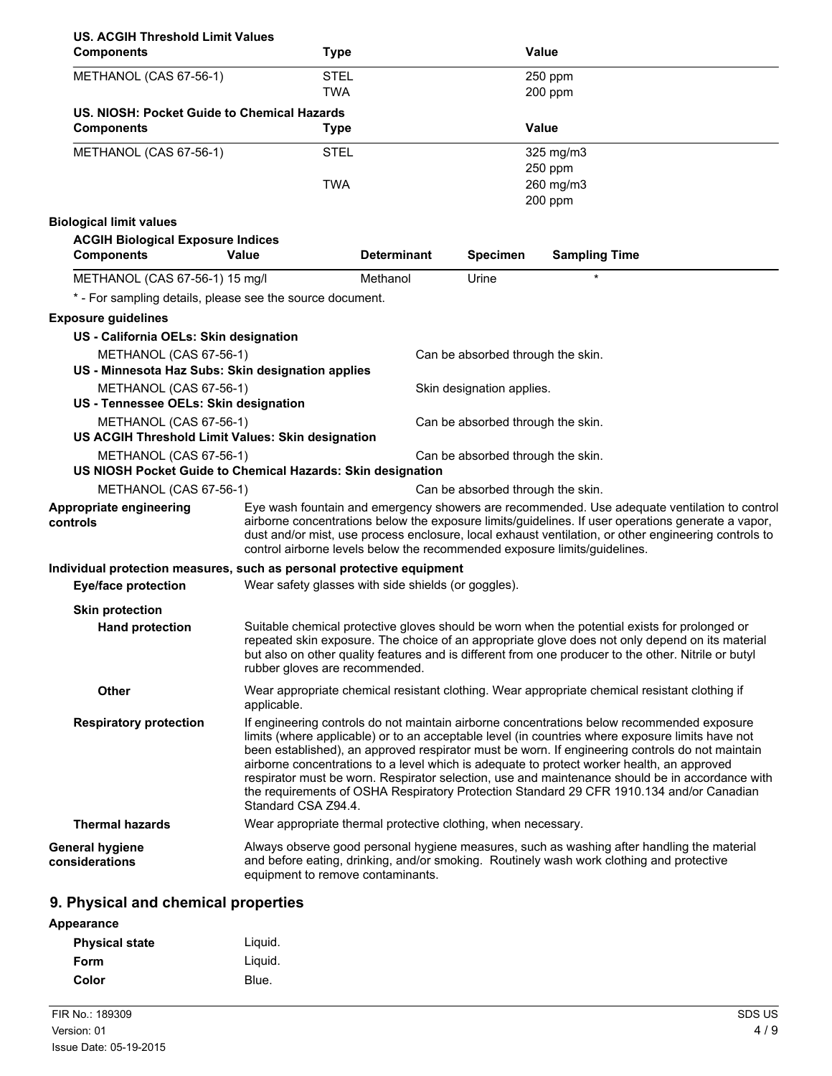| <b>US. ACGIH Threshold Limit Values</b>                                     |                                                               |                    |                                   |                                                                                                                                                                                                                                                                                                                                                                                                                                                                                                                                                                                                |
|-----------------------------------------------------------------------------|---------------------------------------------------------------|--------------------|-----------------------------------|------------------------------------------------------------------------------------------------------------------------------------------------------------------------------------------------------------------------------------------------------------------------------------------------------------------------------------------------------------------------------------------------------------------------------------------------------------------------------------------------------------------------------------------------------------------------------------------------|
| <b>Components</b>                                                           | <b>Type</b>                                                   |                    |                                   | <b>Value</b>                                                                                                                                                                                                                                                                                                                                                                                                                                                                                                                                                                                   |
| METHANOL (CAS 67-56-1)                                                      | <b>STEL</b>                                                   |                    |                                   | 250 ppm                                                                                                                                                                                                                                                                                                                                                                                                                                                                                                                                                                                        |
|                                                                             | <b>TWA</b>                                                    |                    |                                   | 200 ppm                                                                                                                                                                                                                                                                                                                                                                                                                                                                                                                                                                                        |
| US. NIOSH: Pocket Guide to Chemical Hazards                                 |                                                               |                    |                                   |                                                                                                                                                                                                                                                                                                                                                                                                                                                                                                                                                                                                |
| <b>Components</b>                                                           | <b>Type</b>                                                   |                    |                                   | <b>Value</b>                                                                                                                                                                                                                                                                                                                                                                                                                                                                                                                                                                                   |
| METHANOL (CAS 67-56-1)                                                      | <b>STEL</b>                                                   |                    |                                   | 325 mg/m3                                                                                                                                                                                                                                                                                                                                                                                                                                                                                                                                                                                      |
|                                                                             |                                                               |                    |                                   | 250 ppm                                                                                                                                                                                                                                                                                                                                                                                                                                                                                                                                                                                        |
|                                                                             | <b>TWA</b>                                                    |                    |                                   | 260 mg/m3                                                                                                                                                                                                                                                                                                                                                                                                                                                                                                                                                                                      |
|                                                                             |                                                               |                    |                                   | 200 ppm                                                                                                                                                                                                                                                                                                                                                                                                                                                                                                                                                                                        |
| <b>Biological limit values</b>                                              |                                                               |                    |                                   |                                                                                                                                                                                                                                                                                                                                                                                                                                                                                                                                                                                                |
| <b>ACGIH Biological Exposure Indices</b><br><b>Components</b>               | Value                                                         | <b>Determinant</b> | <b>Specimen</b>                   | <b>Sampling Time</b>                                                                                                                                                                                                                                                                                                                                                                                                                                                                                                                                                                           |
| METHANOL (CAS 67-56-1) 15 mg/l                                              |                                                               | Methanol           | Urine                             | $\star$                                                                                                                                                                                                                                                                                                                                                                                                                                                                                                                                                                                        |
| * - For sampling details, please see the source document.                   |                                                               |                    |                                   |                                                                                                                                                                                                                                                                                                                                                                                                                                                                                                                                                                                                |
| <b>Exposure guidelines</b>                                                  |                                                               |                    |                                   |                                                                                                                                                                                                                                                                                                                                                                                                                                                                                                                                                                                                |
| US - California OELs: Skin designation                                      |                                                               |                    |                                   |                                                                                                                                                                                                                                                                                                                                                                                                                                                                                                                                                                                                |
| METHANOL (CAS 67-56-1)<br>US - Minnesota Haz Subs: Skin designation applies |                                                               |                    | Can be absorbed through the skin. |                                                                                                                                                                                                                                                                                                                                                                                                                                                                                                                                                                                                |
| METHANOL (CAS 67-56-1)<br>US - Tennessee OELs: Skin designation             |                                                               |                    | Skin designation applies.         |                                                                                                                                                                                                                                                                                                                                                                                                                                                                                                                                                                                                |
| METHANOL (CAS 67-56-1)                                                      |                                                               |                    | Can be absorbed through the skin. |                                                                                                                                                                                                                                                                                                                                                                                                                                                                                                                                                                                                |
| US ACGIH Threshold Limit Values: Skin designation                           |                                                               |                    |                                   |                                                                                                                                                                                                                                                                                                                                                                                                                                                                                                                                                                                                |
| METHANOL (CAS 67-56-1)                                                      |                                                               |                    | Can be absorbed through the skin. |                                                                                                                                                                                                                                                                                                                                                                                                                                                                                                                                                                                                |
| US NIOSH Pocket Guide to Chemical Hazards: Skin designation                 |                                                               |                    |                                   |                                                                                                                                                                                                                                                                                                                                                                                                                                                                                                                                                                                                |
| METHANOL (CAS 67-56-1)                                                      |                                                               |                    | Can be absorbed through the skin. |                                                                                                                                                                                                                                                                                                                                                                                                                                                                                                                                                                                                |
| Appropriate engineering<br>controls                                         |                                                               |                    |                                   | Eye wash fountain and emergency showers are recommended. Use adequate ventilation to control<br>airborne concentrations below the exposure limits/guidelines. If user operations generate a vapor,<br>dust and/or mist, use process enclosure, local exhaust ventilation, or other engineering controls to<br>control airborne levels below the recommended exposure limits/guidelines.                                                                                                                                                                                                        |
| Individual protection measures, such as personal protective equipment       |                                                               |                    |                                   |                                                                                                                                                                                                                                                                                                                                                                                                                                                                                                                                                                                                |
| <b>Eye/face protection</b>                                                  | Wear safety glasses with side shields (or goggles).           |                    |                                   |                                                                                                                                                                                                                                                                                                                                                                                                                                                                                                                                                                                                |
| <b>Skin protection</b>                                                      |                                                               |                    |                                   |                                                                                                                                                                                                                                                                                                                                                                                                                                                                                                                                                                                                |
| <b>Hand protection</b>                                                      | rubber gloves are recommended.                                |                    |                                   | Suitable chemical protective gloves should be worn when the potential exists for prolonged or<br>repeated skin exposure. The choice of an appropriate glove does not only depend on its material<br>but also on other quality features and is different from one producer to the other. Nitrile or butyl                                                                                                                                                                                                                                                                                       |
| <b>Other</b>                                                                | applicable.                                                   |                    |                                   | Wear appropriate chemical resistant clothing. Wear appropriate chemical resistant clothing if                                                                                                                                                                                                                                                                                                                                                                                                                                                                                                  |
| <b>Respiratory protection</b>                                               | Standard CSA Z94.4.                                           |                    |                                   | If engineering controls do not maintain airborne concentrations below recommended exposure<br>limits (where applicable) or to an acceptable level (in countries where exposure limits have not<br>been established), an approved respirator must be worn. If engineering controls do not maintain<br>airborne concentrations to a level which is adequate to protect worker health, an approved<br>respirator must be worn. Respirator selection, use and maintenance should be in accordance with<br>the requirements of OSHA Respiratory Protection Standard 29 CFR 1910.134 and/or Canadian |
| <b>Thermal hazards</b>                                                      | Wear appropriate thermal protective clothing, when necessary. |                    |                                   |                                                                                                                                                                                                                                                                                                                                                                                                                                                                                                                                                                                                |
| General hygiene<br>considerations                                           | equipment to remove contaminants.                             |                    |                                   | Always observe good personal hygiene measures, such as washing after handling the material<br>and before eating, drinking, and/or smoking. Routinely wash work clothing and protective                                                                                                                                                                                                                                                                                                                                                                                                         |
|                                                                             |                                                               |                    |                                   |                                                                                                                                                                                                                                                                                                                                                                                                                                                                                                                                                                                                |

## **9. Physical and chemical properties**

| Appearance            |         |
|-----------------------|---------|
| <b>Physical state</b> | Liguid. |
| Form                  | Liquid. |
| Color                 | Blue.   |
|                       |         |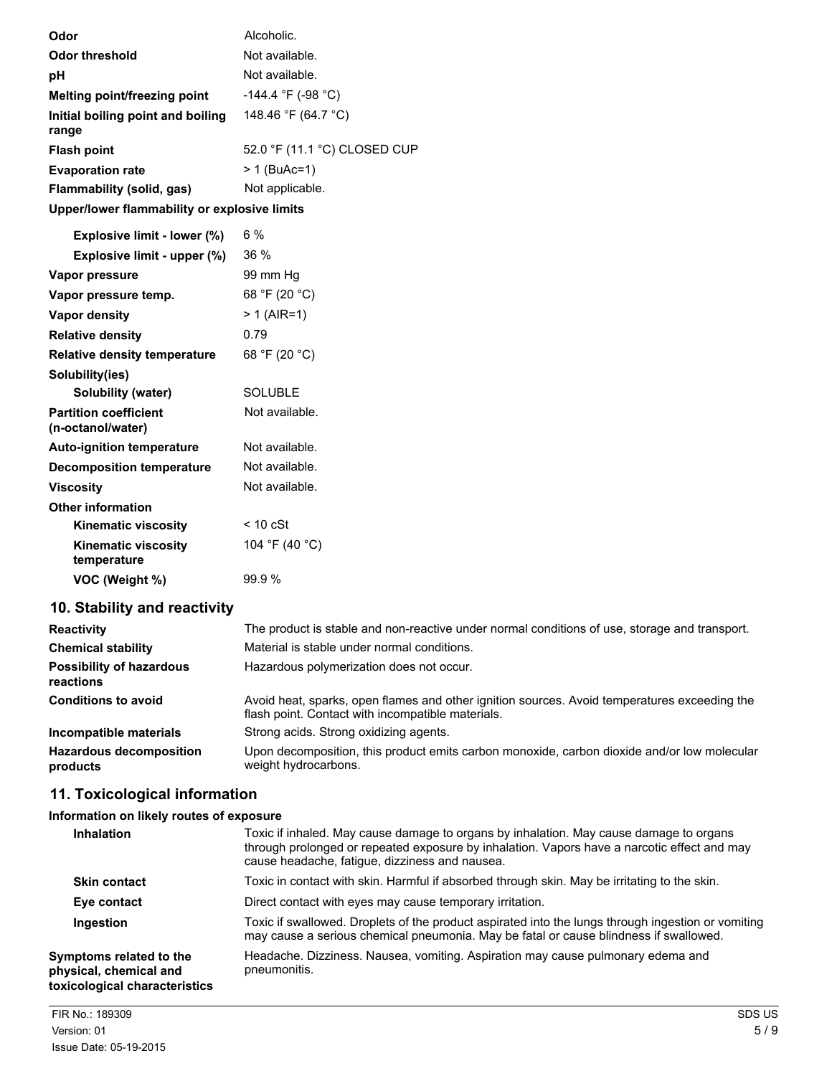| Odor                                              | Alcoholic.                   |
|---------------------------------------------------|------------------------------|
| <b>Odor threshold</b>                             | Not available.               |
| рH                                                | Not available.               |
| Melting point/freezing point                      | -144.4 °F (-98 °C)           |
| Initial boiling point and boiling<br>range        | 148.46 °F (64.7 °C)          |
| <b>Flash point</b>                                | 52.0 °F (11.1 °C) CLOSED CUP |
| <b>Evaporation rate</b>                           | > 1 (BuAc=1)                 |
| Flammability (solid, gas)                         | Not applicable.              |
| Upper/lower flammability or explosive limits      |                              |
| Explosive limit - lower (%)                       | 6%                           |
| Explosive limit - upper (%)                       | 36%                          |
| Vapor pressure                                    | 99 mm Hq                     |
| Vapor pressure temp.                              | 68 °F (20 °C)                |
| <b>Vapor density</b>                              | $> 1$ (AIR=1)                |
| <b>Relative density</b>                           | 0.79                         |
| <b>Relative density temperature</b>               | 68 °F (20 °C)                |
| Solubility(ies)                                   |                              |
| Solubility (water)                                | <b>SOLUBLE</b>               |
| <b>Partition coefficient</b><br>(n-octanol/water) | Not available.               |
| <b>Auto-ignition temperature</b>                  | Not available.               |
| <b>Decomposition temperature</b>                  | Not available.               |
| <b>Viscosity</b>                                  | Not available.               |
| <b>Other information</b>                          |                              |
| <b>Kinematic viscosity</b>                        | $< 10$ cSt                   |
| <b>Kinematic viscosity</b><br>temperature         | 104 °F (40 °C)               |
| VOC (Weight %)                                    | 99.9%                        |

## **10. Stability and reactivity**

| <b>Reactivity</b>                            | The product is stable and non-reactive under normal conditions of use, storage and transport.                                                     |
|----------------------------------------------|---------------------------------------------------------------------------------------------------------------------------------------------------|
| <b>Chemical stability</b>                    | Material is stable under normal conditions.                                                                                                       |
| <b>Possibility of hazardous</b><br>reactions | Hazardous polymerization does not occur.                                                                                                          |
| <b>Conditions to avoid</b>                   | Avoid heat, sparks, open flames and other ignition sources. Avoid temperatures exceeding the<br>flash point. Contact with incompatible materials. |
| Incompatible materials                       | Strong acids. Strong oxidizing agents.                                                                                                            |
| <b>Hazardous decomposition</b><br>products   | Upon decomposition, this product emits carbon monoxide, carbon dioxide and/or low molecular<br>weight hydrocarbons.                               |

## **11. Toxicological information**

## **Information on likely routes of exposure**

| <b>Inhalation</b>                                                                  | Toxic if inhaled. May cause damage to organs by inhalation. May cause damage to organs<br>through prolonged or repeated exposure by inhalation. Vapors have a narcotic effect and may<br>cause headache, fatigue, dizziness and nausea. |
|------------------------------------------------------------------------------------|-----------------------------------------------------------------------------------------------------------------------------------------------------------------------------------------------------------------------------------------|
| <b>Skin contact</b>                                                                | Toxic in contact with skin. Harmful if absorbed through skin. May be irritating to the skin.                                                                                                                                            |
| Eye contact                                                                        | Direct contact with eyes may cause temporary irritation.                                                                                                                                                                                |
| Ingestion                                                                          | Toxic if swallowed. Droplets of the product aspirated into the lungs through ingestion or vomiting<br>may cause a serious chemical pneumonia. May be fatal or cause blindness if swallowed.                                             |
| Symptoms related to the<br>physical, chemical and<br>toxicological characteristics | Headache. Dizziness. Nausea, vomiting. Aspiration may cause pulmonary edema and<br>pneumonitis.                                                                                                                                         |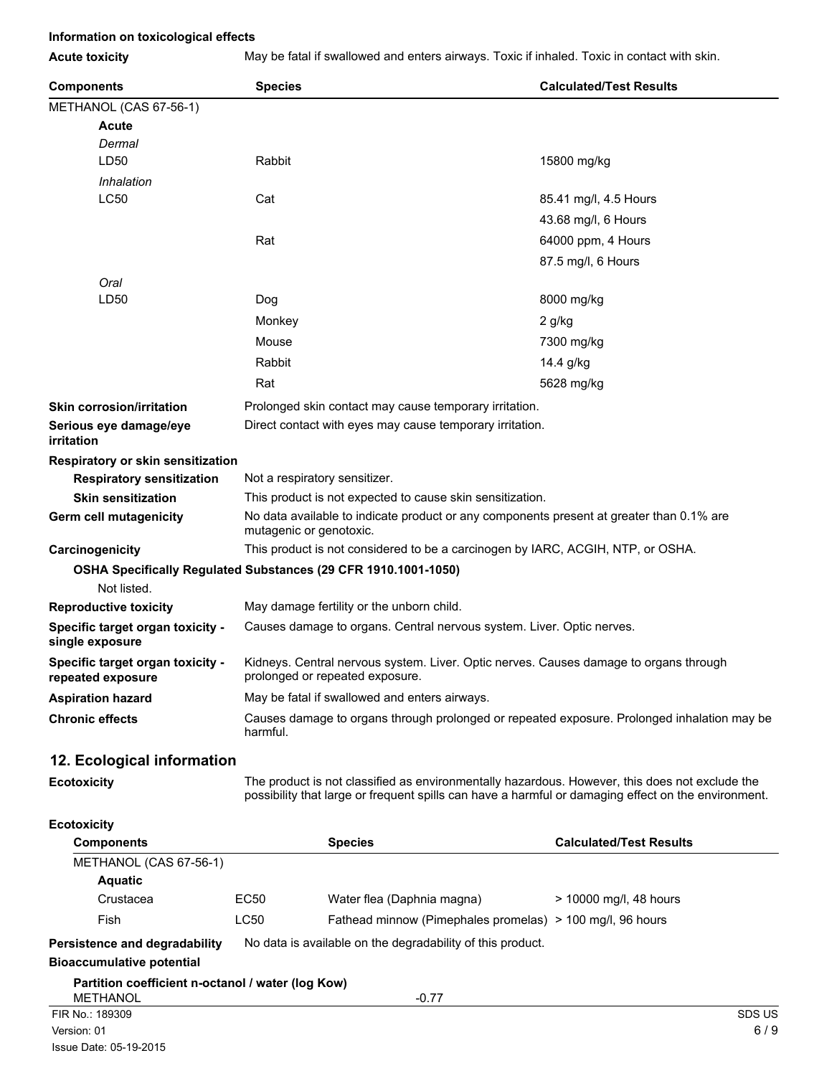#### **Information on toxicological effects**

Acute toxicity May be fatal if swallowed and enters airways. Toxic if inhaled. Toxic in contact with skin.

| <b>Components</b>                                                             | <b>Species</b> |                                                                                                                          | <b>Calculated/Test Results</b>                                                                                                                                                                        |  |
|-------------------------------------------------------------------------------|----------------|--------------------------------------------------------------------------------------------------------------------------|-------------------------------------------------------------------------------------------------------------------------------------------------------------------------------------------------------|--|
| METHANOL (CAS 67-56-1)                                                        |                |                                                                                                                          |                                                                                                                                                                                                       |  |
| Acute                                                                         |                |                                                                                                                          |                                                                                                                                                                                                       |  |
| Dermal                                                                        |                |                                                                                                                          |                                                                                                                                                                                                       |  |
| LD50                                                                          | Rabbit         |                                                                                                                          | 15800 mg/kg                                                                                                                                                                                           |  |
| Inhalation                                                                    |                |                                                                                                                          |                                                                                                                                                                                                       |  |
| LC50                                                                          | Cat            |                                                                                                                          | 85.41 mg/l, 4.5 Hours                                                                                                                                                                                 |  |
|                                                                               |                |                                                                                                                          | 43.68 mg/l, 6 Hours                                                                                                                                                                                   |  |
|                                                                               | Rat            |                                                                                                                          | 64000 ppm, 4 Hours                                                                                                                                                                                    |  |
|                                                                               |                |                                                                                                                          | 87.5 mg/l, 6 Hours                                                                                                                                                                                    |  |
| Oral                                                                          |                |                                                                                                                          |                                                                                                                                                                                                       |  |
| LD50                                                                          | Dog            |                                                                                                                          | 8000 mg/kg                                                                                                                                                                                            |  |
|                                                                               | Monkey         |                                                                                                                          | 2 g/kg                                                                                                                                                                                                |  |
|                                                                               | Mouse          |                                                                                                                          | 7300 mg/kg                                                                                                                                                                                            |  |
|                                                                               | Rabbit         |                                                                                                                          | 14.4 g/kg                                                                                                                                                                                             |  |
|                                                                               | Rat            |                                                                                                                          | 5628 mg/kg                                                                                                                                                                                            |  |
| <b>Skin corrosion/irritation</b>                                              |                | Prolonged skin contact may cause temporary irritation.                                                                   |                                                                                                                                                                                                       |  |
| Serious eye damage/eye<br>irritation                                          |                | Direct contact with eyes may cause temporary irritation.                                                                 |                                                                                                                                                                                                       |  |
| Respiratory or skin sensitization                                             |                |                                                                                                                          |                                                                                                                                                                                                       |  |
| <b>Respiratory sensitization</b>                                              |                | Not a respiratory sensitizer.                                                                                            |                                                                                                                                                                                                       |  |
| <b>Skin sensitization</b>                                                     |                | This product is not expected to cause skin sensitization.                                                                |                                                                                                                                                                                                       |  |
| Germ cell mutagenicity                                                        |                | No data available to indicate product or any components present at greater than 0.1% are<br>mutagenic or genotoxic.      |                                                                                                                                                                                                       |  |
| Carcinogenicity                                                               |                | This product is not considered to be a carcinogen by IARC, ACGIH, NTP, or OSHA.                                          |                                                                                                                                                                                                       |  |
| OSHA Specifically Regulated Substances (29 CFR 1910.1001-1050)<br>Not listed. |                |                                                                                                                          |                                                                                                                                                                                                       |  |
| <b>Reproductive toxicity</b>                                                  |                | May damage fertility or the unborn child.                                                                                |                                                                                                                                                                                                       |  |
| Specific target organ toxicity -<br>single exposure                           |                | Causes damage to organs. Central nervous system. Liver. Optic nerves.                                                    |                                                                                                                                                                                                       |  |
| Specific target organ toxicity -<br>repeated exposure                         |                | Kidneys. Central nervous system. Liver. Optic nerves. Causes damage to organs through<br>prolonged or repeated exposure. |                                                                                                                                                                                                       |  |
| <b>Aspiration hazard</b>                                                      |                | May be fatal if swallowed and enters airways.                                                                            |                                                                                                                                                                                                       |  |
| <b>Chronic effects</b>                                                        | harmful.       | Causes damage to organs through prolonged or repeated exposure. Prolonged inhalation may be                              |                                                                                                                                                                                                       |  |
| 12. Ecological information                                                    |                |                                                                                                                          |                                                                                                                                                                                                       |  |
| <b>Ecotoxicity</b>                                                            |                |                                                                                                                          | The product is not classified as environmentally hazardous. However, this does not exclude the<br>possibility that large or frequent spills can have a harmful or damaging effect on the environment. |  |
| <b>Ecotoxicity</b>                                                            |                |                                                                                                                          |                                                                                                                                                                                                       |  |
| <b>Components</b>                                                             |                | <b>Species</b>                                                                                                           | <b>Calculated/Test Results</b>                                                                                                                                                                        |  |
| METHANOL (CAS 67-56-1)                                                        |                |                                                                                                                          |                                                                                                                                                                                                       |  |
| <b>Aquatic</b>                                                                |                |                                                                                                                          |                                                                                                                                                                                                       |  |
| Crustacea                                                                     | EC50           | Water flea (Daphnia magna)                                                                                               | > 10000 mg/l, 48 hours                                                                                                                                                                                |  |
| Fish                                                                          | LC50           | Fathead minnow (Pimephales promelas) > 100 mg/l, 96 hours                                                                |                                                                                                                                                                                                       |  |
| Persistence and degradability<br><b>Bioaccumulative potential</b>             |                | No data is available on the degradability of this product.                                                               |                                                                                                                                                                                                       |  |

**Partition coefficient n-octanol / water (log Kow)**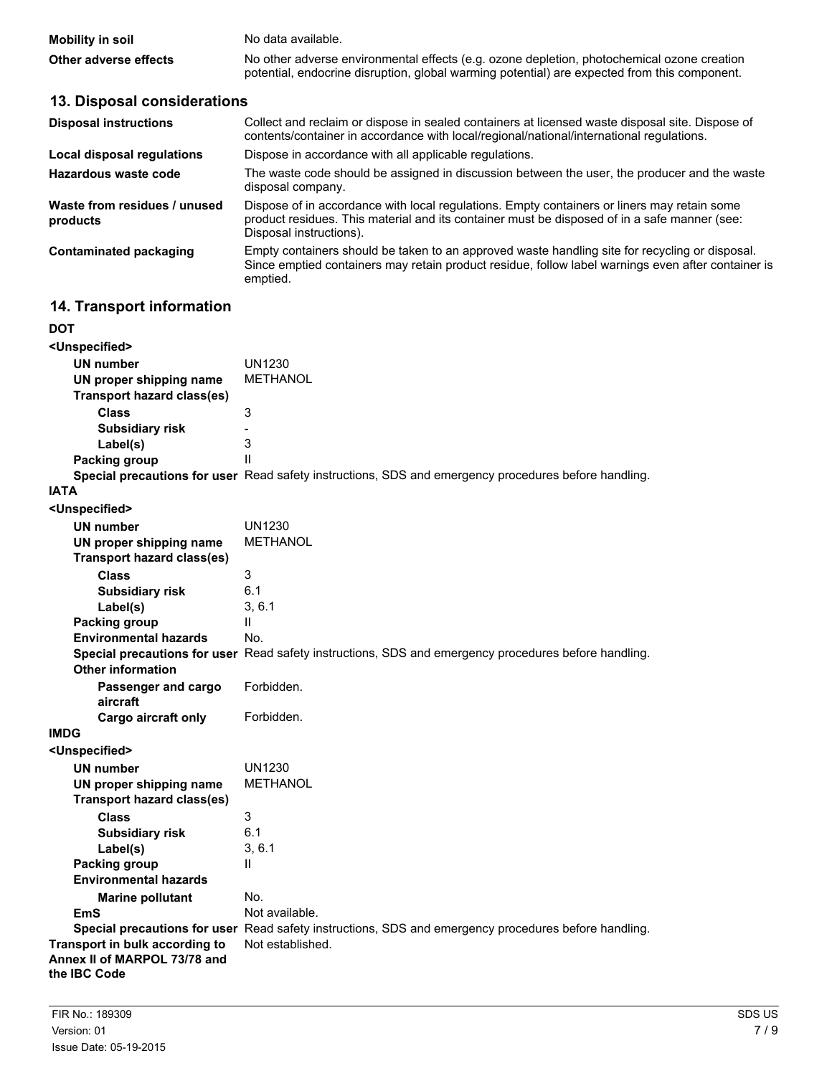| <b>Mobility in soil</b> | No data available.                                                                                                                                                                         |
|-------------------------|--------------------------------------------------------------------------------------------------------------------------------------------------------------------------------------------|
| Other adverse effects   | No other adverse environmental effects (e.g. ozone depletion, photochemical ozone creation<br>potential, endocrine disruption, global warming potential) are expected from this component. |

## **13. Disposal considerations**

| <b>Disposal instructions</b>             | Collect and reclaim or dispose in sealed containers at licensed waste disposal site. Dispose of<br>contents/container in accordance with local/regional/national/international regulations.                            |
|------------------------------------------|------------------------------------------------------------------------------------------------------------------------------------------------------------------------------------------------------------------------|
| Local disposal regulations               | Dispose in accordance with all applicable regulations.                                                                                                                                                                 |
| Hazardous waste code                     | The waste code should be assigned in discussion between the user, the producer and the waste<br>disposal company.                                                                                                      |
| Waste from residues / unused<br>products | Dispose of in accordance with local regulations. Empty containers or liners may retain some<br>product residues. This material and its container must be disposed of in a safe manner (see:<br>Disposal instructions). |
| Contaminated packaging                   | Empty containers should be taken to an approved waste handling site for recycling or disposal.<br>Since emptied containers may retain product residue, follow label warnings even after container is<br>emptied.       |

## **14. Transport information**

| DOT                                                                            |                                                                                                      |
|--------------------------------------------------------------------------------|------------------------------------------------------------------------------------------------------|
| <unspecified></unspecified>                                                    |                                                                                                      |
| <b>UN number</b>                                                               | <b>UN1230</b>                                                                                        |
| UN proper shipping name                                                        | <b>METHANOL</b>                                                                                      |
| <b>Transport hazard class(es)</b>                                              |                                                                                                      |
| <b>Class</b>                                                                   | 3                                                                                                    |
| <b>Subsidiary risk</b>                                                         | ÷,                                                                                                   |
| Label(s)                                                                       | 3                                                                                                    |
| Packing group                                                                  | $\mathsf{II}$                                                                                        |
|                                                                                | Special precautions for user Read safety instructions, SDS and emergency procedures before handling. |
| <b>IATA</b>                                                                    |                                                                                                      |
| <unspecified></unspecified>                                                    |                                                                                                      |
| <b>UN number</b>                                                               | <b>UN1230</b>                                                                                        |
| UN proper shipping name                                                        | <b>METHANOL</b>                                                                                      |
| <b>Transport hazard class(es)</b>                                              |                                                                                                      |
| <b>Class</b>                                                                   | 3                                                                                                    |
| <b>Subsidiary risk</b>                                                         | 6.1                                                                                                  |
| Label(s)                                                                       | 3, 6.1                                                                                               |
| Packing group                                                                  | $\mathbf{H}$                                                                                         |
| <b>Environmental hazards</b>                                                   | No.                                                                                                  |
|                                                                                | Special precautions for user Read safety instructions, SDS and emergency procedures before handling. |
| <b>Other information</b>                                                       |                                                                                                      |
| Passenger and cargo<br>aircraft                                                | Forbidden.                                                                                           |
| <b>Cargo aircraft only</b>                                                     | Forbidden.                                                                                           |
| IMDG                                                                           |                                                                                                      |
| <unspecified></unspecified>                                                    |                                                                                                      |
| <b>UN number</b>                                                               | <b>UN1230</b>                                                                                        |
| UN proper shipping name                                                        | <b>METHANOL</b>                                                                                      |
| <b>Transport hazard class(es)</b>                                              |                                                                                                      |
| <b>Class</b>                                                                   | 3                                                                                                    |
| <b>Subsidiary risk</b>                                                         | 6.1                                                                                                  |
| Label(s)                                                                       | 3, 6.1                                                                                               |
| Packing group                                                                  | $\mathbf{H}$                                                                                         |
| <b>Environmental hazards</b>                                                   |                                                                                                      |
| <b>Marine pollutant</b>                                                        | No.                                                                                                  |
| <b>EmS</b>                                                                     | Not available.                                                                                       |
|                                                                                | Special precautions for user Read safety instructions, SDS and emergency procedures before handling. |
| Transport in bulk according to<br>Annex II of MARPOL 73/78 and<br>the IBC Code | Not established.                                                                                     |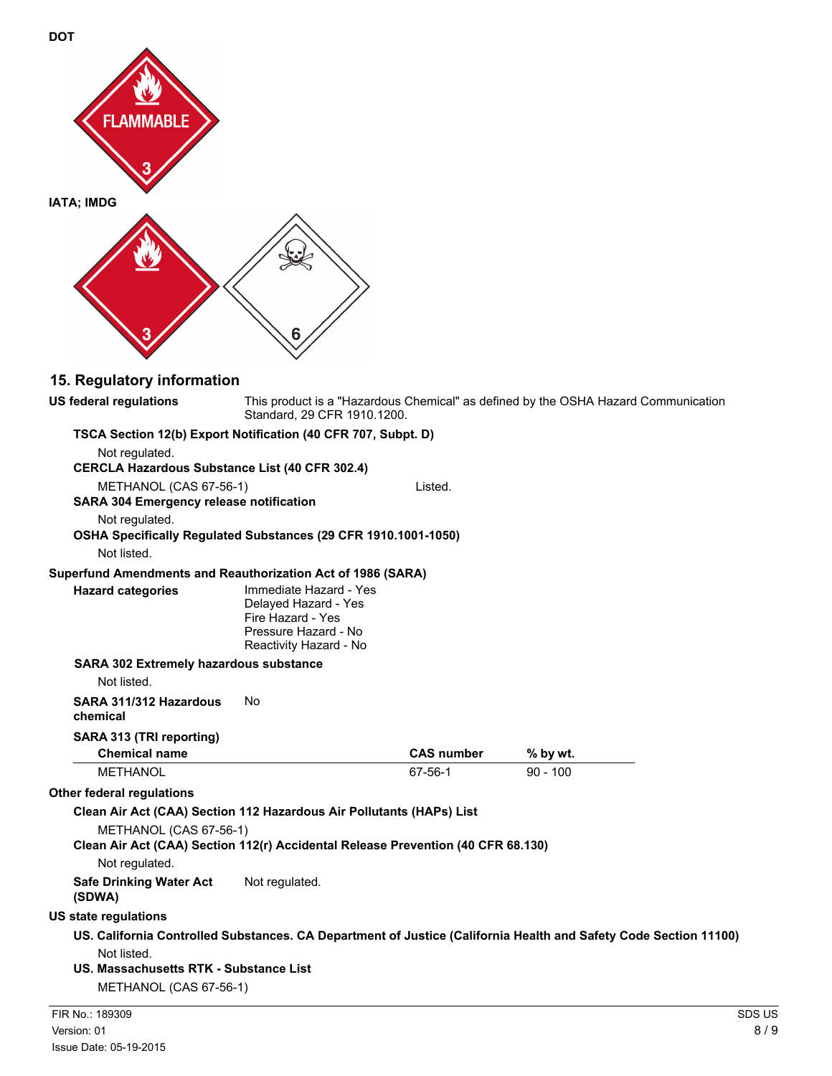